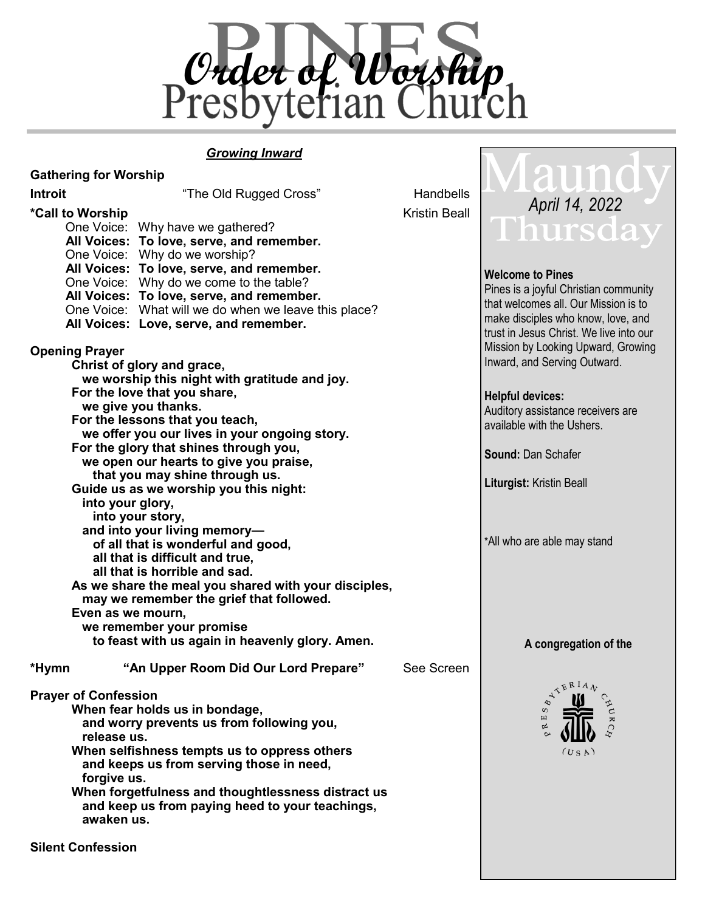

#### *Growing Inward*

| <b>Gathering for Worship</b>                                  |                                                      |                      |                                                                 |
|---------------------------------------------------------------|------------------------------------------------------|----------------------|-----------------------------------------------------------------|
| <b>Introit</b>                                                | "The Old Rugged Cross"                               | Handbells            |                                                                 |
| *Call to Worship                                              |                                                      | <b>Kristin Beall</b> | April 14, 2022                                                  |
|                                                               | One Voice: Why have we gathered?                     |                      | Thursda                                                         |
|                                                               | All Voices: To love, serve, and remember.            |                      |                                                                 |
|                                                               | One Voice: Why do we worship?                        |                      |                                                                 |
|                                                               | All Voices: To love, serve, and remember.            |                      |                                                                 |
|                                                               | One Voice: Why do we come to the table?              |                      | <b>Welcome to Pines</b>                                         |
|                                                               | All Voices: To love, serve, and remember.            |                      | Pines is a joyful Christian community                           |
|                                                               | One Voice: What will we do when we leave this place? |                      | that welcomes all. Our Mission is to                            |
|                                                               | All Voices: Love, serve, and remember.               |                      | make disciples who know, love, and                              |
|                                                               |                                                      |                      | trust in Jesus Christ. We live into our                         |
| <b>Opening Prayer</b>                                         |                                                      |                      | Mission by Looking Upward, Growing                              |
| Christ of glory and grace,                                    |                                                      |                      | Inward, and Serving Outward.                                    |
| we worship this night with gratitude and joy.                 |                                                      |                      |                                                                 |
| For the love that you share,                                  |                                                      |                      | <b>Helpful devices:</b>                                         |
|                                                               | we give you thanks.                                  |                      |                                                                 |
| For the lessons that you teach,                               |                                                      |                      | Auditory assistance receivers are<br>available with the Ushers. |
|                                                               | we offer you our lives in your ongoing story.        |                      |                                                                 |
| For the glory that shines through you,                        |                                                      |                      |                                                                 |
|                                                               | we open our hearts to give you praise,               |                      | <b>Sound: Dan Schafer</b>                                       |
|                                                               | that you may shine through us.                       |                      |                                                                 |
| Guide us as we worship you this night:                        |                                                      |                      | <b>Liturgist: Kristin Beall</b>                                 |
| into your glory,                                              |                                                      |                      |                                                                 |
| into your story,                                              |                                                      |                      |                                                                 |
| and into your living memory-                                  |                                                      |                      |                                                                 |
| of all that is wonderful and good,                            |                                                      |                      | *All who are able may stand                                     |
|                                                               | all that is difficult and true,                      |                      |                                                                 |
| all that is horrible and sad.                                 |                                                      |                      |                                                                 |
| As we share the meal you shared with your disciples,          |                                                      |                      |                                                                 |
|                                                               | may we remember the grief that followed.             |                      |                                                                 |
| Even as we mourn,                                             |                                                      |                      |                                                                 |
| we remember your promise                                      |                                                      |                      |                                                                 |
| to feast with us again in heavenly glory. Amen.               |                                                      |                      | A congregation of the                                           |
|                                                               |                                                      |                      |                                                                 |
| *Hymn                                                         | "An Upper Room Did Our Lord Prepare"                 | See Screen           | TERIAN                                                          |
|                                                               |                                                      |                      |                                                                 |
| <b>Prayer of Confession</b><br>When fear holds us in bondage, |                                                      |                      |                                                                 |
| and worry prevents us from following you,                     |                                                      |                      |                                                                 |
| release us.                                                   |                                                      |                      |                                                                 |
| When selfishness tempts us to oppress others                  |                                                      |                      | (USA)                                                           |
| and keeps us from serving those in need,                      |                                                      |                      |                                                                 |
| forgive us.                                                   |                                                      |                      |                                                                 |
|                                                               | When forgetfulness and thoughtlessness distract us   |                      |                                                                 |
| and keep us from paying heed to your teachings,               |                                                      |                      |                                                                 |
| awaken us.                                                    |                                                      |                      |                                                                 |
|                                                               |                                                      |                      |                                                                 |
|                                                               |                                                      |                      |                                                                 |

**Silent Confession**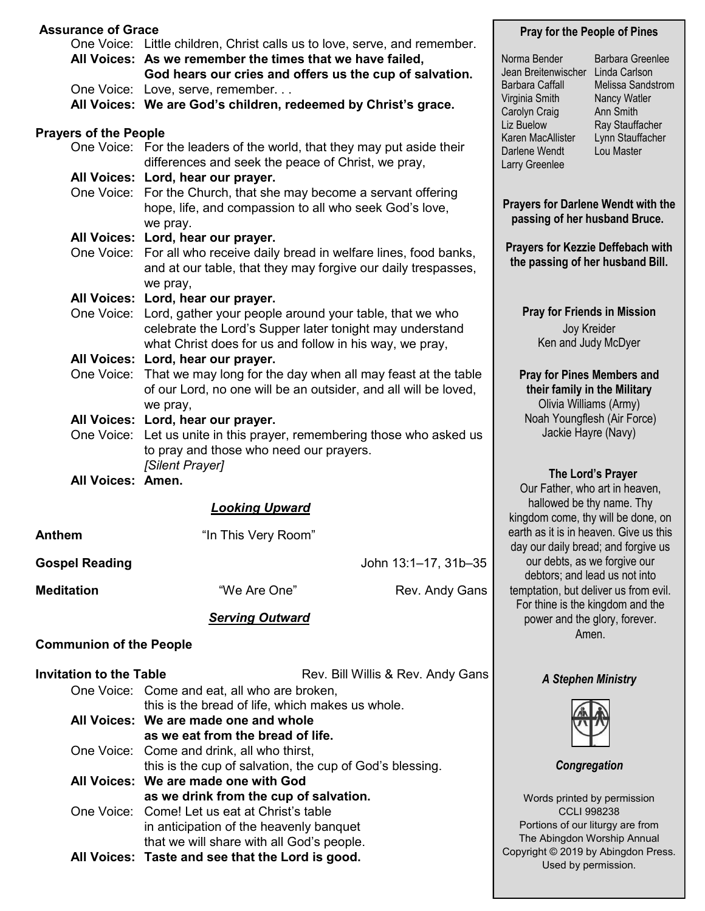| <b>Assurance of Grace</b>      |                                                                                                                                        |                                 | <b>Pray for the People of Pines</b>                                                                                                              |                                   |  |
|--------------------------------|----------------------------------------------------------------------------------------------------------------------------------------|---------------------------------|--------------------------------------------------------------------------------------------------------------------------------------------------|-----------------------------------|--|
|                                | One Voice: Little children, Christ calls us to love, serve, and remember.<br>All Voices: As we remember the times that we have failed, |                                 | Norma Bender                                                                                                                                     | <b>Barbara Greenlee</b>           |  |
|                                | God hears our cries and offers us the cup of salvation.                                                                                |                                 | Jean Breitenwischer<br>Linda Carlson                                                                                                             |                                   |  |
|                                | One Voice: Love, serve, remember                                                                                                       |                                 | <b>Barbara Caffall</b><br>Virginia Smith                                                                                                         | Melissa Sandstrom<br>Nancy Watler |  |
|                                | All Voices: We are God's children, redeemed by Christ's grace.                                                                         |                                 | Carolyn Craig                                                                                                                                    | Ann Smith                         |  |
| <b>Prayers of the People</b>   |                                                                                                                                        | Liz Buelow<br>Karen MacAllister | Ray Stauffacher<br>Lynn Stauffacher                                                                                                              |                                   |  |
|                                | One Voice: For the leaders of the world, that they may put aside their                                                                 |                                 | Darlene Wendt                                                                                                                                    | Lou Master                        |  |
|                                | differences and seek the peace of Christ, we pray,<br>All Voices: Lord, hear our prayer.                                               |                                 | Larry Greenlee                                                                                                                                   |                                   |  |
|                                | One Voice: For the Church, that she may become a servant offering                                                                      |                                 |                                                                                                                                                  |                                   |  |
|                                | hope, life, and compassion to all who seek God's love,                                                                                 |                                 | <b>Prayers for Darlene Wendt with the</b>                                                                                                        |                                   |  |
|                                | we pray.                                                                                                                               |                                 | passing of her husband Bruce.                                                                                                                    |                                   |  |
|                                | All Voices: Lord, hear our prayer.<br>One Voice: For all who receive daily bread in welfare lines, food banks,                         |                                 | <b>Prayers for Kezzie Deffebach with</b>                                                                                                         |                                   |  |
|                                | and at our table, that they may forgive our daily trespasses,                                                                          |                                 | the passing of her husband Bill.                                                                                                                 |                                   |  |
|                                | we pray,                                                                                                                               |                                 |                                                                                                                                                  |                                   |  |
|                                | All Voices: Lord, hear our prayer.                                                                                                     |                                 |                                                                                                                                                  |                                   |  |
|                                | One Voice: Lord, gather your people around your table, that we who<br>celebrate the Lord's Supper later tonight may understand         |                                 | <b>Pray for Friends in Mission</b><br>Joy Kreider                                                                                                |                                   |  |
|                                | what Christ does for us and follow in his way, we pray,                                                                                |                                 | Ken and Judy McDyer                                                                                                                              |                                   |  |
|                                | All Voices: Lord, hear our prayer.                                                                                                     |                                 |                                                                                                                                                  |                                   |  |
|                                | One Voice: That we may long for the day when all may feast at the table                                                                |                                 | <b>Pray for Pines Members and</b>                                                                                                                |                                   |  |
|                                | of our Lord, no one will be an outsider, and all will be loved,<br>we pray,                                                            |                                 | their family in the Military<br>Olivia Williams (Army)                                                                                           |                                   |  |
|                                | All Voices: Lord, hear our prayer.                                                                                                     |                                 |                                                                                                                                                  | Noah Youngflesh (Air Force)       |  |
|                                | One Voice: Let us unite in this prayer, remembering those who asked us                                                                 |                                 | Jackie Hayre (Navy)                                                                                                                              |                                   |  |
|                                | to pray and those who need our prayers.                                                                                                |                                 |                                                                                                                                                  |                                   |  |
| All Voices: Amen.              | [Silent Prayer]                                                                                                                        |                                 |                                                                                                                                                  | The Lord's Prayer                 |  |
|                                |                                                                                                                                        |                                 |                                                                                                                                                  | Our Father, who art in heaven,    |  |
| <b>Looking Upward</b>          |                                                                                                                                        |                                 | hallowed be thy name. Thy<br>kingdom come, thy will be done, on<br>earth as it is in heaven. Give us this<br>day our daily bread; and forgive us |                                   |  |
| <b>Anthem</b>                  | "In This Very Room"                                                                                                                    |                                 |                                                                                                                                                  |                                   |  |
| <b>Gospel Reading</b>          | John 13:1-17, 31b-35                                                                                                                   |                                 | our debts, as we forgive our<br>debtors; and lead us not into                                                                                    |                                   |  |
| <b>Meditation</b>              | "We Are One"<br>Rev. Andy Gans                                                                                                         |                                 | temptation, but deliver us from evil.                                                                                                            |                                   |  |
|                                | <b>Serving Outward</b>                                                                                                                 |                                 | For thine is the kingdom and the<br>power and the glory, forever.<br>Amen.                                                                       |                                   |  |
|                                |                                                                                                                                        |                                 |                                                                                                                                                  |                                   |  |
| <b>Communion of the People</b> |                                                                                                                                        |                                 |                                                                                                                                                  |                                   |  |
| <b>Invitation to the Table</b> | Rev. Bill Willis & Rev. Andy Gans                                                                                                      |                                 | <b>A Stephen Ministry</b>                                                                                                                        |                                   |  |
|                                | One Voice: Come and eat, all who are broken,                                                                                           |                                 |                                                                                                                                                  |                                   |  |
|                                | this is the bread of life, which makes us whole.<br>All Voices: We are made one and whole                                              |                                 |                                                                                                                                                  |                                   |  |
|                                | as we eat from the bread of life.                                                                                                      |                                 |                                                                                                                                                  |                                   |  |
|                                | One Voice: Come and drink, all who thirst,                                                                                             |                                 |                                                                                                                                                  |                                   |  |
|                                | this is the cup of salvation, the cup of God's blessing.<br>All Voices: We are made one with God                                       |                                 | Congregation                                                                                                                                     |                                   |  |
|                                | as we drink from the cup of salvation.                                                                                                 |                                 | Words printed by permission                                                                                                                      |                                   |  |
|                                | One Voice: Come! Let us eat at Christ's table                                                                                          |                                 | <b>CCLI 998238</b>                                                                                                                               |                                   |  |
|                                | in anticipation of the heavenly banquet                                                                                                |                                 | Portions of our liturgy are from<br>The Abingdon Worship Annual                                                                                  |                                   |  |
|                                | that we will share with all God's people.<br>All Voices: Taste and see that the Lord is good.                                          |                                 | Copyright © 2019 by Abingdon Press.                                                                                                              |                                   |  |
|                                |                                                                                                                                        |                                 | Used by permission.                                                                                                                              |                                   |  |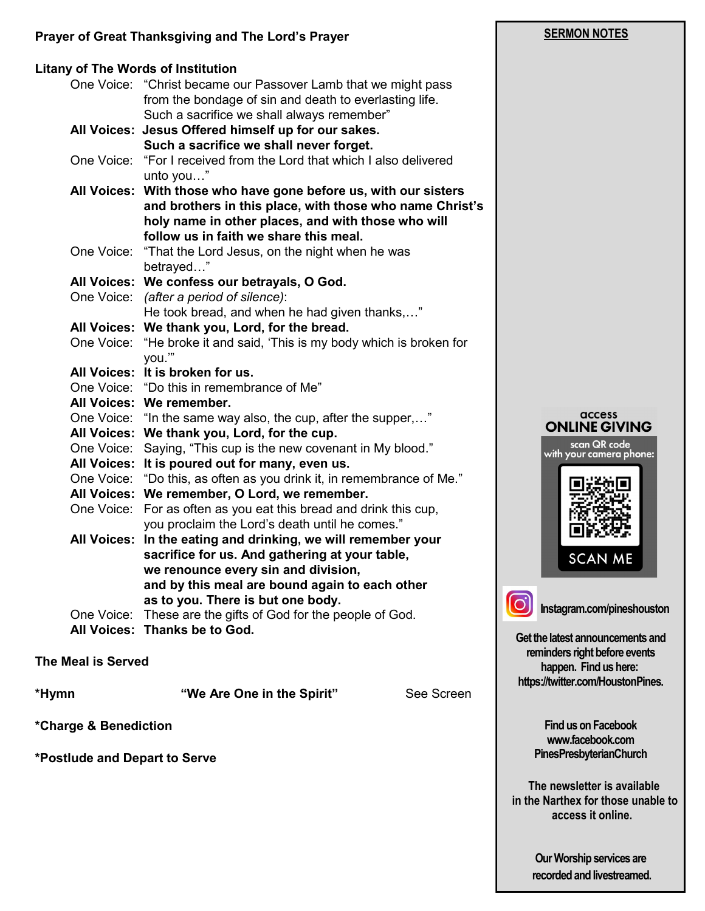#### **Prayer of Great Thanksgiving and The Lord's Prayer**

#### **Litany of The Words of Institution**  One Voice: "Christ became our Passover Lamb that we might pass from the bondage of sin and death to everlasting life. Such a sacrifice we shall always remember" **All Voices: Jesus Offered himself up for our sakes. Such a sacrifice we shall never forget.** One Voice: "For I received from the Lord that which I also delivered unto you…" **All Voices: With those who have gone before us, with our sisters and brothers in this place, with those who name Christ's holy name in other places, and with those who will follow us in faith we share this meal.** One Voice: "That the Lord Jesus, on the night when he was betrayed…" **All Voices: We confess our betrayals, O God.** One Voice: *(after a period of silence)*: He took bread, and when he had given thanks,…" **All Voices: We thank you, Lord, for the bread.** One Voice: "He broke it and said, 'This is my body which is broken for you.'" **All Voices: It is broken for us.** One Voice: "Do this in remembrance of Me" **All Voices: We remember.** One Voice: "In the same way also, the cup, after the supper,…" **All Voices: We thank you, Lord, for the cup.** One Voice: Saying, "This cup is the new covenant in My blood." **All Voices: It is poured out for many, even us.** One Voice: "Do this, as often as you drink it, in remembrance of Me." **All Voices: We remember, O Lord, we remember.** One Voice: For as often as you eat this bread and drink this cup, you proclaim the Lord's death until he comes." **All Voices: In the eating and drinking, we will remember your sacrifice for us. And gathering at your table, we renounce every sin and division, and by this meal are bound again to each other as to you. There is but one body.** One Voice: These are the gifts of God for the people of God. **All Voices: Thanks be to God.**

**The Meal is Served**

**\*Hymn "We Are One in the Spirit"** See Screen

**\*Charge & Benediction**

**\*Postlude and Depart to Serve** 

# **SERMON NOTES**





**Instagram.com/pineshouston**

**Get the latest announcements and reminders right before events happen. Find us here: https://twitter.com/HoustonPines.** 

> **Find us on Facebook www.facebook.com PinesPresbyterianChurch**

 **The newsletter is available in the Narthex for those unable to access it online.**

> **Our Worship services are recorded and livestreamed.**